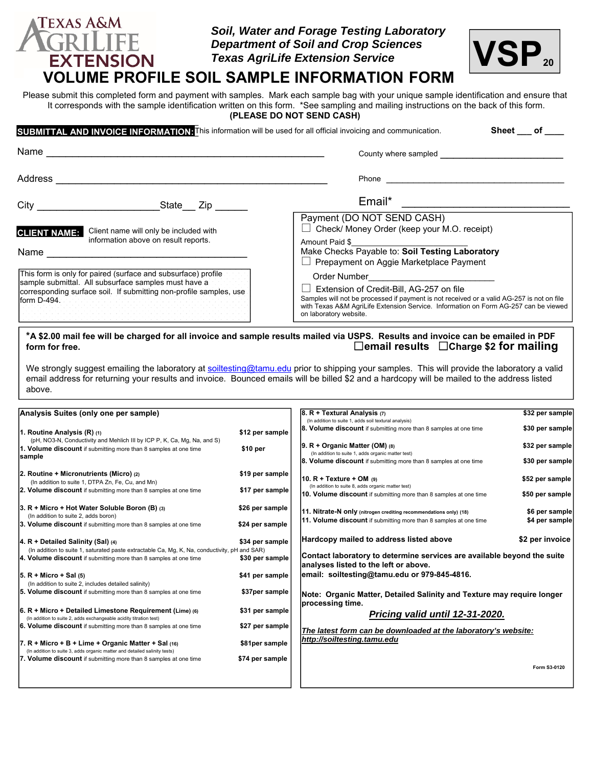### *Soil, Water and Forage Testing Laboratory Department of Soil and Crop Sciences Texas AgriLife Extension Service*



# **VOLUME PROFILE SOIL SAMPLE INFORMATION FORM**

**TEXAS A&M** GRII

**EXTENSION** 

Please submit this completed form and payment with samples. Mark each sample bag with your unique sample identification and ensure that It corresponds with the sample identification written on this form. \*See sampling and mailing instructions on the back of this form. **(PLEASE DO NOT SEND CASH)** 

|                                                                                                                                          |                                                                                | SUBMITTAL AND INVOICE INFORMATION: This information will be used for all official invoicing and communication.<br>Sheet of                                                                                                                                                                                                                                                                                                                                                                    |  |  |
|------------------------------------------------------------------------------------------------------------------------------------------|--------------------------------------------------------------------------------|-----------------------------------------------------------------------------------------------------------------------------------------------------------------------------------------------------------------------------------------------------------------------------------------------------------------------------------------------------------------------------------------------------------------------------------------------------------------------------------------------|--|--|
| Name                                                                                                                                     |                                                                                | County where sampled                                                                                                                                                                                                                                                                                                                                                                                                                                                                          |  |  |
| Address                                                                                                                                  |                                                                                | Phone                                                                                                                                                                                                                                                                                                                                                                                                                                                                                         |  |  |
| City                                                                                                                                     | State Zip                                                                      | Email*                                                                                                                                                                                                                                                                                                                                                                                                                                                                                        |  |  |
| <b>CLIENT NAME:</b><br>Name                                                                                                              | Client name will only be included with<br>information above on result reports. | Payment (DO NOT SEND CASH)<br>$\Box$ Check/ Money Order (keep your M.O. receipt)<br>Amount Paid \$<br>Make Checks Payable to: Soil Testing Laboratory<br>$\Box$ Prepayment on Aggie Marketplace Payment                                                                                                                                                                                                                                                                                       |  |  |
| This form is only for paired (surface and subsurface) profile<br>sample submittal. All subsurface samples must have a<br>Iform $D-494$ . | corresponding surface soil. If submitting non-profile samples, use             | Order Number <b>Exercise Server</b> Server Server Server Server Server Server Server Server Server Server Server Server Server Server Server Server Server Server Server Server Server Server Server Server Server Server Server Se<br>Extension of Credit-Bill, AG-257 on file<br>Samples will not be processed if payment is not received or a valid AG-257 is not on file<br>with Texas A&M AgriLife Extension Service. Information on Form AG-257 can be viewed<br>on laboratory website. |  |  |

#### **\*A \$2.00 mail fee will be charged for all invoice and sample results mailed via USPS. Results and invoice can be emailed in PDF form for free. email results Charge \$2 for mailing**

We strongly suggest emailing the laboratory at soiltesting@tamu.edu prior to shipping your samples. This will provide the laboratory a valid email address for returning your results and invoice. Bounced emails will be billed \$2 and a hardcopy will be mailed to the address listed above.

| Analysis Suites (only one per sample)                                                         |                 | $ 8. R + Textural Analysis (7)$<br>\$32 per sample                                 |                 |  |
|-----------------------------------------------------------------------------------------------|-----------------|------------------------------------------------------------------------------------|-----------------|--|
|                                                                                               |                 | (In addition to suite 1, adds soil textural analysis)                              |                 |  |
| 1. Routine Analysis (R) (1)                                                                   | \$12 per sample | 8. Volume discount if submitting more than 8 samples at one time                   | \$30 per sample |  |
| (pH, NO3-N, Conductivity and Mehlich III by ICP P, K, Ca, Mg, Na, and S)                      |                 | $ 9. R +$ Organic Matter (OM) (8)                                                  | \$32 per sample |  |
| 1. Volume discount if submitting more than 8 samples at one time                              | \$10 per        | (In addition to suite 1, adds organic matter test)                                 |                 |  |
| sample                                                                                        |                 | <b>8. Volume discount</b> if submitting more than 8 samples at one time            | \$30 per sample |  |
| 2. Routine + Micronutrients (Micro) (2)                                                       | \$19 per sample |                                                                                    |                 |  |
| (In addition to suite 1, DTPA Zn, Fe, Cu, and Mn)                                             |                 | 10. $R$ + Texture + OM $(9)$<br>(In addition to suite 8, adds organic matter test) | \$52 per sample |  |
| 2. Volume discount if submitting more than 8 samples at one time                              | \$17 per sample | 10. Volume discount if submitting more than 8 samples at one time                  | \$50 per sample |  |
|                                                                                               |                 |                                                                                    |                 |  |
| $ 3. R +$ Micro + Hot Water Soluble Boron (B) (3)<br>(In addition to suite 2, adds boron)     | \$26 per sample | 11. Nitrate-N only (nitrogen crediting recommendations only) (18)                  | \$6 per sample  |  |
| 3. Volume discount if submitting more than 8 samples at one time                              | \$24 per sample | 11. Volume discount if submitting more than 8 samples at one time                  | \$4 per sample  |  |
|                                                                                               |                 |                                                                                    |                 |  |
| $ 4. R + Detailed$ Salinity (Sal) (4)                                                         | \$34 per sample | Hardcopy mailed to address listed above                                            | \$2 per invoice |  |
| (In addition to suite 1, saturated paste extractable Ca, Mg, K, Na, conductivity, pH and SAR) |                 |                                                                                    |                 |  |
| 4. Volume discount if submitting more than 8 samples at one time                              | \$30 per sample | Contact laboratory to determine services are available beyond the suite            |                 |  |
|                                                                                               |                 | analyses listed to the left or above.                                              |                 |  |
| $ 5. R +$ Micro + Sal $(5)$                                                                   | \$41 per sample | email: soiltesting@tamu.edu or 979-845-4816.                                       |                 |  |
| (In addition to suite 2, includes detailed salinity)                                          |                 |                                                                                    |                 |  |
| 5. Volume discount if submitting more than 8 samples at one time                              | \$37per sample  | Note: Organic Matter, Detailed Salinity and Texture may require longer             |                 |  |
| $ 6. R +$ Micro + Detailed Limestone Requirement (Lime) (6)                                   | \$31 per sample | processing time.                                                                   |                 |  |
| (In addition to suite 2, adds exchangeable acidity titration test)                            |                 | Pricing valid until 12-31-2020.                                                    |                 |  |
| 6. Volume discount if submitting more than 8 samples at one time                              | \$27 per sample |                                                                                    |                 |  |
|                                                                                               |                 | The latest form can be downloaded at the laboratory's website:                     |                 |  |
| 7. R + Micro + B + Lime + Organic Matter + Sal (16)                                           | \$81per sample  | http://soiltesting.tamu.edu                                                        |                 |  |
| (In addition to suite 3, adds organic matter and detailed salinity tests)                     |                 |                                                                                    |                 |  |
| 7. Volume discount if submitting more than 8 samples at one time                              | \$74 per sample |                                                                                    |                 |  |
|                                                                                               |                 |                                                                                    | Form S3-0120    |  |
|                                                                                               |                 |                                                                                    |                 |  |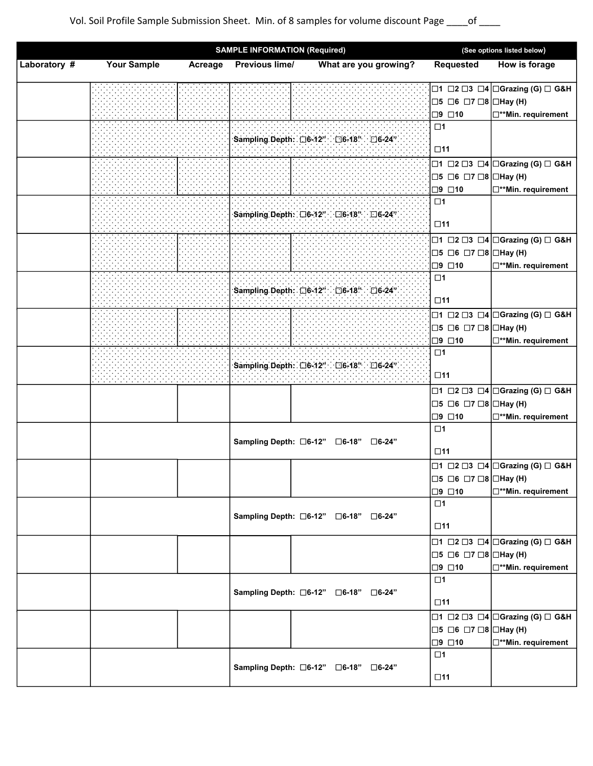|              | <b>SAMPLE INFORMATION (Required)</b> |         |                | (See options listed below)               |                                                    |                                                                   |
|--------------|--------------------------------------|---------|----------------|------------------------------------------|----------------------------------------------------|-------------------------------------------------------------------|
| Laboratory # | <b>Your Sample</b>                   | Acreage | Previous lime/ | What are you growing?                    | Requested                                          | How is forage                                                     |
|              |                                      |         |                |                                          |                                                    | □1 □2 □3 □4 □Grazing (G) □ G&H                                    |
|              |                                      |         |                |                                          | $\Box 5 \Box 6 \Box 7 \Box 8 \Box$ Hay (H)         |                                                                   |
|              |                                      |         |                |                                          | $\square$ 9 $\square$ 10                           | <b>D**Min.</b> requirement                                        |
|              |                                      |         |                | Sampling Depth: □6-12" □6-18" □6-24"     | $\square$ 1                                        |                                                                   |
|              |                                      |         |                |                                          | $\square$ 11                                       |                                                                   |
|              |                                      |         |                |                                          |                                                    | □1 □2 □3 □4 □Grazing (G) □ G&H                                    |
|              |                                      |         |                |                                          | $\Box 5$ $\Box 6$ $\Box 7$ $\Box 8$ $\Box$ Hay (H) |                                                                   |
|              |                                      |         |                |                                          | $\square$ 9 $\square$ 10                           | <b>D**Min.</b> requirement                                        |
|              |                                      |         |                |                                          | $\square$ 1                                        |                                                                   |
|              |                                      |         |                | Sampling Depth: □6-12" □6-18" □6-24"     |                                                    |                                                                   |
|              |                                      |         |                |                                          | $\square$ 11                                       |                                                                   |
|              |                                      |         |                |                                          |                                                    | □1 □2 □3 □4 □Grazing (G) □ G&H                                    |
|              |                                      |         |                |                                          | $\Box$ 5 $\Box$ 6 $\Box$ 7 $\Box$ 8 $\Box$ Hay (H) |                                                                   |
|              |                                      |         |                |                                          | $\square$ 9 $\square$ 10                           | <b>D**Min. requirement</b>                                        |
|              |                                      |         |                |                                          | $\square$ 1                                        |                                                                   |
|              |                                      |         |                | Sampling Depth: □6-12" : □6-18" : □6-24" |                                                    |                                                                   |
|              |                                      |         |                |                                          | $\Box$ 11                                          |                                                                   |
|              |                                      |         |                |                                          |                                                    | □1 □2 □3 □4 □Grazing (G) □ G&H                                    |
|              |                                      |         |                |                                          | □5 □6 □7 □8 □Hay (H)                               |                                                                   |
|              |                                      |         |                |                                          | □9 □10                                             | □**Min. requirement                                               |
|              |                                      |         |                |                                          | $\square$ 1                                        |                                                                   |
|              |                                      |         |                | Sampling Depth: □6-12" □6-18" □6-24"     | $\square$ 11                                       |                                                                   |
|              |                                      |         |                |                                          |                                                    | □1 □2 □3 □4 □Grazing (G) □ G&H                                    |
|              |                                      |         |                |                                          | $\Box$ 5 $\Box$ 6 $\Box$ 7 $\Box$ 8 $\Box$ Hay (H) |                                                                   |
|              |                                      |         |                |                                          | □9 □10                                             | <b>D**Min. requirement</b>                                        |
|              |                                      |         |                |                                          | $\square$ 1                                        |                                                                   |
|              |                                      |         |                | Sampling Depth: □6-12" □6-18"<br>□6-24"  |                                                    |                                                                   |
|              |                                      |         |                |                                          | $\square$ 11                                       |                                                                   |
|              |                                      |         |                |                                          |                                                    | $\Box$ 1 $\Box$ 2 $\Box$ 3 $\Box$ 4 $\Box$ Grazing (G) $\Box$ G&H |
|              |                                      |         |                |                                          | $\Box$ 5 $\Box$ 6 $\Box$ 7 $\Box$ 8 $\Box$ Hay (H) |                                                                   |
|              |                                      |         |                |                                          | □9 □10                                             | <b>D**Min. requirement</b>                                        |
|              |                                      |         |                |                                          | $\square$ 1                                        |                                                                   |
|              |                                      |         |                | Sampling Depth: □6-12" □6-18" □6-24"     | $\square$ 11                                       |                                                                   |
|              |                                      |         |                |                                          |                                                    | □1 □2 □3 □4 □Grazing (G) □ G&H                                    |
|              |                                      |         |                |                                          | $\Box$ 5 $\Box$ 6 $\Box$ 7 $\Box$ 8 $\Box$ Hay (H) |                                                                   |
|              |                                      |         |                |                                          | □9 □10                                             | <b>D**Min.</b> requirement                                        |
|              |                                      |         |                |                                          | $\square$ 1                                        |                                                                   |
|              |                                      |         |                | Sampling Depth: □6-12" □6-18"<br>□6-24"  |                                                    |                                                                   |
|              |                                      |         |                |                                          | $\square$ 11                                       |                                                                   |
|              |                                      |         |                |                                          |                                                    | □1 □2 □3 □4 □Grazing (G) □ G&H                                    |
|              |                                      |         |                |                                          | $\Box$ 5 $\Box$ 6 $\Box$ 7 $\Box$ 8 $\Box$ Hay (H) |                                                                   |
|              |                                      |         |                |                                          | $\Box$ 9 $\Box$ 10                                 | □**Min. requirement                                               |
|              |                                      |         |                |                                          | $\square$ 1                                        |                                                                   |
|              |                                      |         |                | Sampling Depth: □6-12" □6-18" □6-24"     |                                                    |                                                                   |
|              |                                      |         |                |                                          | $\square$ 11                                       |                                                                   |